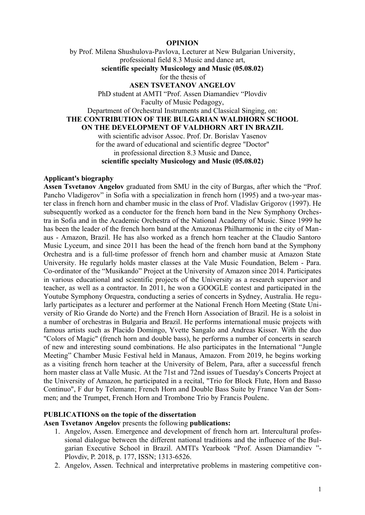#### **OPINION**

by Prof. Milena Shushulova-Pavlova, Lecturer at New Bulgarian University, professional field 8.3 Music and dance art, **scientific specialty Musicology and Music (05.08.02)** for the thesis of **ASEN TSVETANOV ANGELOV** PhD student at AMTI "Prof. Assen Diamandiev "Plovdiv Faculty of Music Pedagogy, Department of Orchestral Instruments and Classical Singing, on: **THE CONTRIBUTION OF THE BULGARIAN WALDHORN SCHOOL ON THE DEVELOPMENT OF VALDHORN ART IN BRAZIL** with scientific advisor Assoc. Prof. Dr. Borislav Yasenov for the award of educational and scientific degree "Doctor" in professional direction 8.3 Music and Dance, **scientific specialty Musicology and Music (05.08.02)**

### **Applicant's biography**

**Assen Tsvetanov Angelov** graduated from SMU in the city of Burgas, after which the "Prof. Pancho Vladigerov" in Sofia with a specialization in french horn (1995) and a two-year master class in french horn and chamber music in the class of Prof. Vladislav Grigorov (1997). He subsequently worked as a conductor for the french horn band in the New Symphony Orchestra in Sofia and in the Academic Orchestra of the National Academy of Music. Since 1999 he has been the leader of the french horn band at the Amazonas Philharmonic in the city of Manaus - Amazon, Brazil. He has also worked as a french horn teacher at the Claudio Santoro Music Lyceum, and since 2011 has been the head of the french horn band at the Symphony Orchestra and is a full-time professor of french horn and chamber music at Amazon State University. He regularly holds master classes at the Vale Music Foundation, Belem - Para. Co-ordinator of the "Musikando" Project at the University of Amazon since 2014. Participates in various educational and scientific projects of the University as a research supervisor and teacher, as well as a contractor. In 2011, he won a GOOGLE contest and participated in the Youtube Symphony Orquestra, conducting a series of concerts in Sydney, Australia. He regularly participates as a lecturer and performer at the National French Horn Meeting (State University of Rio Grande do Norte) and the French Horn Association of Brazil. He is a soloist in a number of orchestras in Bulgaria and Brazil. He performs international music projects with famous artists such as Placido Domingo, Yvette Sangalo and Andreas Kisser. With the duo "Colors of Magic" (french horn and double bass), he performs a number of concerts in search of new and interesting sound combinations. He also participates in the International "Jungle Meeting" Chamber Music Festival held in Manaus, Amazon. From 2019, he begins working as a visiting french horn teacher at the University of Belem, Para, after a successful french horn master class at Valle Music. At the 71st and 72nd issues of Tuesday's Concerts Project at the University of Amazon, he participated in a recital, "Trio for Block Flute, Horn and Basso Continuo", F dur by Telemann; French Horn and Double Bass Suite by France Van der Sommen; and the Trumpet, French Horn and Trombone Trio by Francis Poulenc.

#### **PUBLICATIONS on the topic of the dissertation**

**Asen Tsvetanov Angelov** presents the following **publications:**

- 1. Angelov, Assen. Emergence and development of french horn art. Intercultural professional dialogue between the different national traditions and the influence of the Bulgarian Executive School in Brazil. AMTI's Yearbook "Prof. Assen Diamandiev "- Plovdiv, P. 2018, p. 177, ISSN; 1313-6526.
- 2. Angelov, Assen. Technical and interpretative problems in mastering competitive con-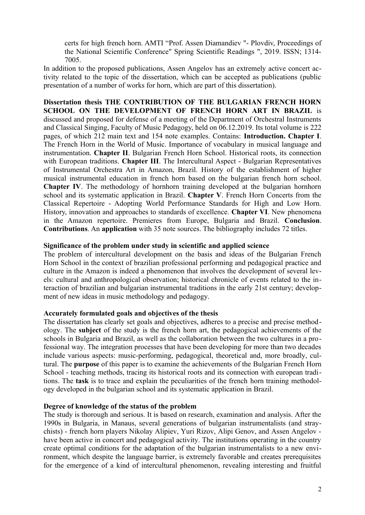certs for high french horn. AMTI "Prof. Assen Diamandiev "- Plovdiv, Proceedings of the National Scientific Conference" Spring Scientific Readings ", 2019. ISSN; 1314- 7005.

In addition to the proposed publications, Assen Angelov has an extremely active concert activity related to the topic of the dissertation, which can be accepted as publications (public presentation of a number of works for horn, which are part of this dissertation).

**Dissertation thesis THE CONTRIBUTION OF THE BULGARIAN FRENCH HORN SCHOOL ON THE DEVELOPMENT OF FRENCH HORN ART IN BRAZIL** is discussed and proposed for defense of a meeting of the Department of Orchestral Instruments and Classical Singing, Faculty of Music Pedagogy, held on 06.12.2019. Its total volume is 222 pages, of which 212 main text and 154 note examples. Contains: **Introduction. Chapter I**. The French Horn in the World of Music. Importance of vocabulary in musical language and instrumentation. **Chapter II**. Bulgarian French Horn School. Historical roots, its connection with European traditions. **Chapter III**. The Intercultural Aspect - Bulgarian Representatives of Instrumental Orchestra Art in Amazon, Brazil. History of the establishment of higher musical instrumental education in french horn based on the bulgarian french horn school. **Chapter IV**. The methodology of hornhorn training developed at the bulgarian hornhorn school and its systematic application in Brazil. **Chapter V**. French Horn Concerts from the Classical Repertoire - Adopting World Performance Standards for High and Low Horn. History, innovation and approaches to standards of excellence. **Chapter VI**. New phenomena in the Amazon repertoire. Premieres from Europe, Bulgaria and Brazil. **Conclusion**. **Contributions**. An **application** with 35 note sources. The bibliography includes 72 titles.

### **Significance of the problem under study in scientific and applied science**

The problem of intercultural development on the basis and ideas of the Bulgarian French Horn School in the context of brazilian professional performing and pedagogical practice and culture in the Amazon is indeed a phenomenon that involves the development of several levels: cultural and anthropological observation; historical chronicle of events related to the interaction of brazilian and bulgarian instrumental traditions in the early 21st century; development of new ideas in music methodology and pedagogy.

### **Accurately formulated goals and objectives of the thesis**

The dissertation has clearly set goals and objectives, adheres to a precise and precise methodology. The **subject** of the study is the french horn art, the pedagogical achievements of the schools in Bulgaria and Brazil, as well as the collaboration between the two cultures in a professional way. The integration processes that have been developing for more than two decades include various aspects: music-performing, pedagogical, theoretical and, more broadly, cultural. The **purpose** of this paper is to examine the achievements of the Bulgarian French Horn School - teaching methods, tracing its historical roots and its connection with european traditions. The **task** is to trace and explain the peculiarities of the french horn training methodology developed in the bulgarian school and its systematic application in Brazil.

### **Degree of knowledge of the status of the problem**

The study is thorough and serious. It is based on research, examination and analysis. After the 1990s in Bulgaria, in Manaus, several generations of bulgarian instrumentalists (and straychists) - french horn players Nikolay Alipiev, Yuri Rizov, Alipi Genov, and Assen Angelov have been active in concert and pedagogical activity. The institutions operating in the country create optimal conditions for the adaptation of the bulgarian instrumentalists to a new environment, which despite the language barrier, is extremely favorable and creates prerequisites for the emergence of a kind of intercultural phenomenon, revealing interesting and fruitful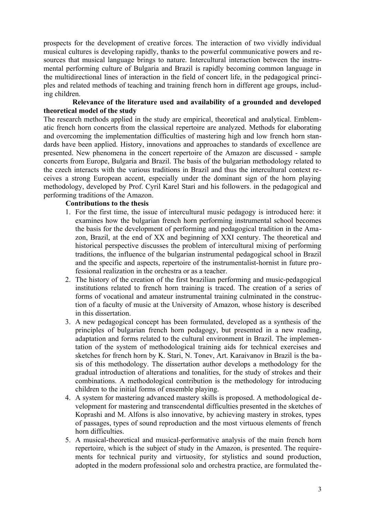prospects for the development of creative forces. The interaction of two vividly individual musical cultures is developing rapidly, thanks to the powerful communicative powers and resources that musical language brings to nature. Intercultural interaction between the instrumental performing culture of Bulgaria and Brazil is rapidly becoming common language in the multidirectional lines of interaction in the field of concert life, in the pedagogical principles and related methods of teaching and training french horn in different age groups, including children.

## **Relevance of the literature used and availability of a grounded and developed theoretical model of the study**

The research methods applied in the study are empirical, theoretical and analytical. Emblematic french horn concerts from the classical repertoire are analyzed. Methods for elaborating and overcoming the implementation difficulties of mastering high and low french horn standards have been applied. History, innovations and approaches to standards of excellence are presented. New phenomena in the concert repertoire of the Amazon are discussed - sample concerts from Europe, Bulgaria and Brazil. The basis of the bulgarian methodology related to the czech interacts with the various traditions in Brazil and thus the intercultural context receives a strong European accent, especially under the dominant sign of the horn playing methodology, developed by Prof. Cyril Karel Stari and his followers. in the pedagogical and performing traditions of the Amazon.

## **Contributions to the thesis**

- 1. For the first time, the issue of intercultural music pedagogy is introduced here: it examines how the bulgarian french horn performing instrumental school becomes the basis for the development of performing and pedagogical tradition in the Amazon, Brazil, at the end of XX and beginning of XXI century. The theoretical and historical perspective discusses the problem of intercultural mixing of performing traditions, the influence of the bulgarian instrumental pedagogical school in Brazil and the specific and aspects, repertoire of the instrumentalist-hornist in future professional realization in the orchestra or as a teacher.
- 2. The history of the creation of the first brazilian performing and music-pedagogical institutions related to french horn training is traced. The creation of a series of forms of vocational and amateur instrumental training culminated in the construction of a faculty of music at the University of Amazon, whose history is described in this dissertation.
- 3. A new pedagogical concept has been formulated, developed as a synthesis of the principles of bulgarian french horn pedagogy, but presented in a new reading, adaptation and forms related to the cultural environment in Brazil. The implementation of the system of methodological training aids for technical exercises and sketches for french horn by K. Stari, N. Tonev, Art. Karaivanov in Brazil is the basis of this methodology. The dissertation author develops a methodology for the gradual introduction of alterations and tonalities, for the study of strokes and their combinations. A methodological contribution is the methodology for introducing children to the initial forms of ensemble playing.
- 4. A system for mastering advanced mastery skills is proposed. A methodological development for mastering and transcendental difficulties presented in the sketches of Koprashi and M. Alfons is also innovative, by achieving mastery in strokes, types of passages, types of sound reproduction and the most virtuous elements of french horn difficulties.
- 5. A musical-theoretical and musical-performative analysis of the main french horn repertoire, which is the subject of study in the Amazon, is presented. The requirements for technical purity and virtuosity, for stylistics and sound production, adopted in the modern professional solo and orchestra practice, are formulated the-